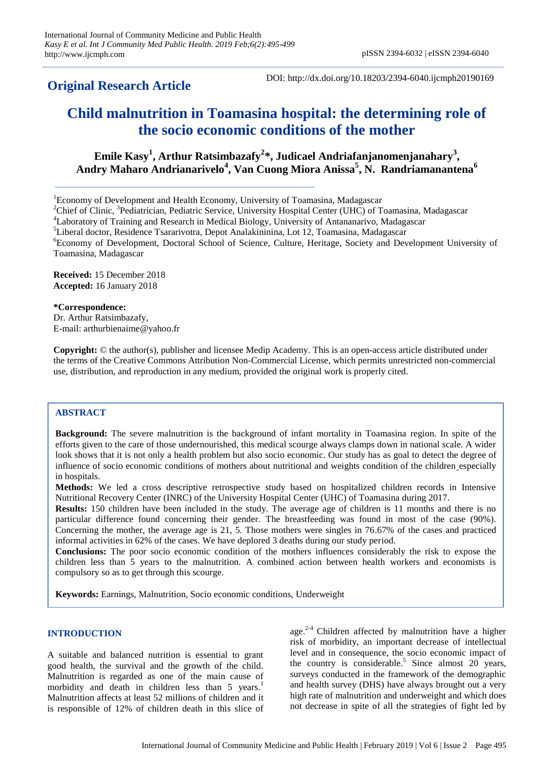# **Original Research Article**

DOI: http://dx.doi.org/10.18203/2394-6040.ijcmph20190169

# **Child malnutrition in Toamasina hospital: the determining role of the socio economic conditions of the mother**

**Emile Kasy<sup>1</sup> , Arthur Ratsimbazafy<sup>2</sup> \*, Judicael Andriafanjanomenjanahary<sup>3</sup> , Andry Maharo Andrianarivelo<sup>4</sup> , Van Cuong Miora Anissa<sup>5</sup> , N. Randriamanantena<sup>6</sup>**

<sup>1</sup>Economy of Development and Health Economy, University of Toamasina, Madagascar

<sup>2</sup>Chief of Clinic, <sup>3</sup>Pediatrician, Pediatric Service, University Hospital Center (UHC) of Toamasina, Madagascar

<sup>5</sup>Liberal doctor, Residence Tsararivotra, Depot Analakininina, Lot 12, Toamasina, Madagascar

<sup>6</sup>Economy of Development, Doctoral School of Science, Culture, Heritage, Society and Development University of Toamasina, Madagascar

**Received:** 15 December 2018 **Accepted:** 16 January 2018

**\*Correspondence:**

Dr. Arthur Ratsimbazafy, E-mail: arthurbienaime@yahoo.fr

**Copyright:** © the author(s), publisher and licensee Medip Academy. This is an open-access article distributed under the terms of the Creative Commons Attribution Non-Commercial License, which permits unrestricted non-commercial use, distribution, and reproduction in any medium, provided the original work is properly cited.

# **ABSTRACT**

**Background:** The severe malnutrition is the background of infant mortality in Toamasina region. In spite of the efforts given to the care of those undernourished, this medical scourge always clamps down in national scale. A wider look shows that it is not only a health problem but also socio economic. Our study has as goal to detect the degree of influence of socio economic conditions of mothers about nutritional and weights condition of the children especially in hospitals.

**Methods:** We led a cross descriptive retrospective study based on hospitalized children records in Intensive Nutritional Recovery Center (INRC) of the University Hospital Center (UHC) of Toamasina during 2017.

**Results:** 150 children have been included in the study. The average age of children is 11 months and there is no particular difference found concerning their gender. The breastfeeding was found in most of the case (90%). Concerning the mother, the average age is 21, 5. Those mothers were singles in 76.67% of the cases and practiced informal activities in 62% of the cases. We have deplored 3 deaths during our study period.

**Conclusions:** The poor socio economic condition of the mothers influences considerably the risk to expose the children less than 5 years to the malnutrition. A combined action between health workers and economists is compulsory so as to get through this scourge.

**Keywords:** Earnings, Malnutrition, Socio economic conditions, Underweight

# **INTRODUCTION**

A suitable and balanced nutrition is essential to grant good health, the survival and the growth of the child. Malnutrition is regarded as one of the main cause of morbidity and death in children less than 5 years.<sup>1</sup> Malnutrition affects at least 52 millions of children and it is responsible of 12% of children death in this slice of

age. $2-4$  Children affected by malnutrition have a higher risk of morbidity, an important decrease of intellectual level and in consequence, the socio economic impact of the country is considerable.<sup>5</sup> Since almost  $20$  years, surveys conducted in the framework of the demographic and health survey (DHS) have always brought out a very high rate of malnutrition and underweight and which does not decrease in spite of all the strategies of fight led by

<sup>&</sup>lt;sup>4</sup>Laboratory of Training and Research in Medical Biology, University of Antananarivo, Madagascar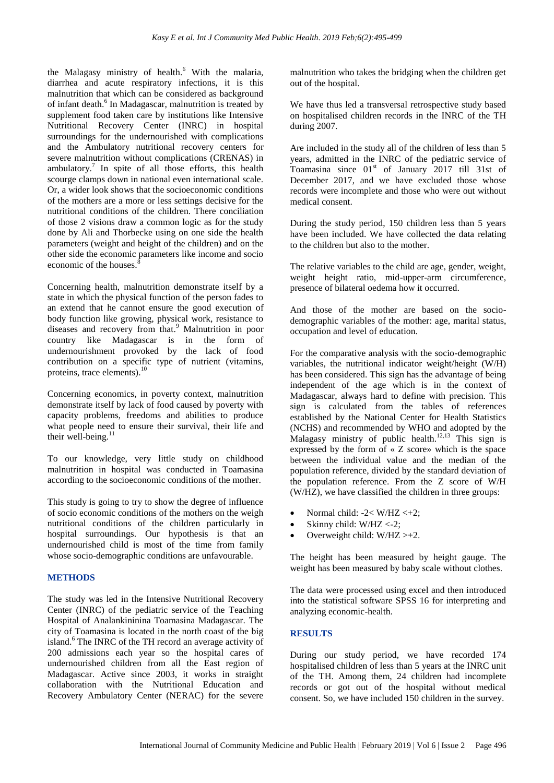the Malagasy ministry of health. <sup>6</sup> With the malaria, diarrhea and acute respiratory infections, it is this malnutrition that which can be considered as background of infant death. 6 In Madagascar, malnutrition is treated by supplement food taken care by institutions like Intensive Nutritional Recovery Center (INRC) in hospital surroundings for the undernourished with complications and the Ambulatory nutritional recovery centers for severe malnutrition without complications (CRENAS) in ambulatory. 7 In spite of all those efforts, this health scourge clamps down in national even international scale. Or, a wider look shows that the socioeconomic conditions of the mothers are a more or less settings decisive for the nutritional conditions of the children. There conciliation of those 2 visions draw a common logic as for the study done by Ali and Thorbecke using on one side the health parameters (weight and height of the children) and on the other side the economic parameters like income and socio economic of the houses.<sup>8</sup>

Concerning health, malnutrition demonstrate itself by a state in which the physical function of the person fades to an extend that he cannot ensure the good execution of body function like growing, physical work, resistance to diseases and recovery from that. <sup>9</sup> Malnutrition in poor country like Madagascar is in the form of undernourishment provoked by the lack of food contribution on a specific type of nutrient (vitamins, proteins, trace elements). 10

Concerning economics, in poverty context, malnutrition demonstrate itself by lack of food caused by poverty with capacity problems, freedoms and abilities to produce what people need to ensure their survival, their life and their well-being. $^{11}$ 

To our knowledge, very little study on childhood malnutrition in hospital was conducted in Toamasina according to the socioeconomic conditions of the mother.

This study is going to try to show the degree of influence of socio economic conditions of the mothers on the weigh nutritional conditions of the children particularly in hospital surroundings. Our hypothesis is that an undernourished child is most of the time from family whose socio-demographic conditions are unfavourable.

# **METHODS**

The study was led in the Intensive Nutritional Recovery Center (INRC) of the pediatric service of the Teaching Hospital of Analankininina Toamasina Madagascar. The city of Toamasina is located in the north coast of the big island. <sup>6</sup> The INRC of the TH record an average activity of 200 admissions each year so the hospital cares of undernourished children from all the East region of Madagascar. Active since 2003, it works in straight collaboration with the Nutritional Education and Recovery Ambulatory Center (NERAC) for the severe

malnutrition who takes the bridging when the children get out of the hospital.

We have thus led a transversal retrospective study based on hospitalised children records in the INRC of the TH during 2007.

Are included in the study all of the children of less than 5 years, admitted in the INRC of the pediatric service of Toamasina since  $01<sup>st</sup>$  of January 2017 till 31st of December 2017, and we have excluded those whose records were incomplete and those who were out without medical consent.

During the study period, 150 children less than 5 years have been included. We have collected the data relating to the children but also to the mother.

The relative variables to the child are age, gender, weight, weight height ratio, mid-upper-arm circumference, presence of bilateral oedema how it occurred.

And those of the mother are based on the sociodemographic variables of the mother: age, marital status, occupation and level of education.

For the comparative analysis with the socio-demographic variables, the nutritional indicator weight/height (W/H) has been considered. This sign has the advantage of being independent of the age which is in the context of Madagascar, always hard to define with precision. This sign is calculated from the tables of references established by the National Center for Health Statistics (NCHS) and recommended by WHO and adopted by the Malagasy ministry of public health.<sup>12,13</sup> This sign is expressed by the form of « Z score» which is the space between the individual value and the median of the population reference, divided by the standard deviation of the population reference. From the Z score of W/H (W/HZ), we have classified the children in three groups:

- Normal child:  $-2 < W/HZ < +2$ ;
- Skinny child: W/HZ <-2;
- Overweight child: W/HZ >+2.

The height has been measured by height gauge. The weight has been measured by baby scale without clothes.

The data were processed using excel and then introduced into the statistical software SPSS 16 for interpreting and analyzing economic-health.

# **RESULTS**

During our study period, we have recorded 174 hospitalised children of less than 5 years at the INRC unit of the TH. Among them, 24 children had incomplete records or got out of the hospital without medical consent. So, we have included 150 children in the survey.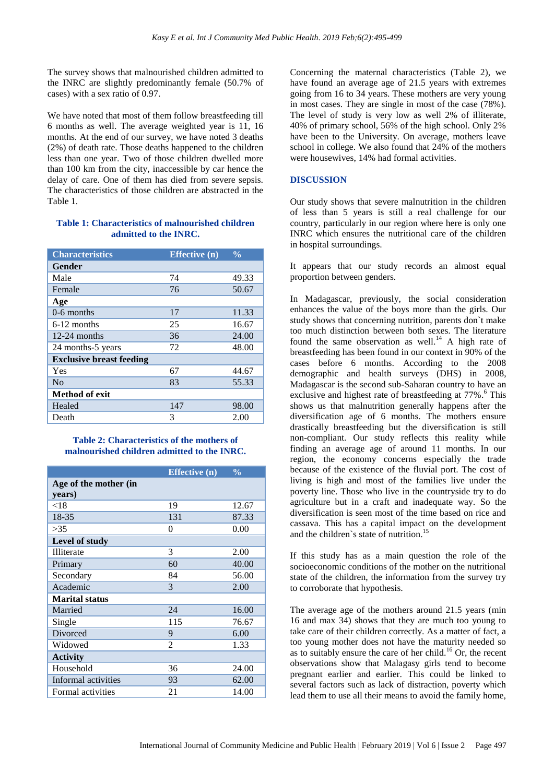The survey shows that malnourished children admitted to the INRC are slightly predominantly female (50.7% of cases) with a sex ratio of 0.97.

We have noted that most of them follow breastfeeding till 6 months as well. The average weighted year is 11, 16 months. At the end of our survey, we have noted 3 deaths (2%) of death rate. Those deaths happened to the children less than one year. Two of those children dwelled more than 100 km from the city, inaccessible by car hence the delay of care. One of them has died from severe sepsis. The characteristics of those children are abstracted in the Table 1.

#### **Table 1: Characteristics of malnourished children admitted to the INRC.**

| <b>Characteristics</b>          | Effective $\overline{(\mathbf{n})}$ | $\frac{0}{0}$ |
|---------------------------------|-------------------------------------|---------------|
| Gender                          |                                     |               |
| Male                            | 74                                  | 49.33         |
| Female                          | 76                                  | 50.67         |
| Age                             |                                     |               |
| $0-6$ months                    | 17                                  | 11.33         |
| 6-12 months                     | 25                                  | 16.67         |
| $12-24$ months                  | 36                                  | 24.00         |
| 24 months-5 years               | 72                                  | 48.00         |
| <b>Exclusive breast feeding</b> |                                     |               |
| Yes                             | 67                                  | 44.67         |
| No                              | 83                                  | 55.33         |
| <b>Method of exit</b>           |                                     |               |
| Healed                          | 147                                 | 98.00         |
| Death                           | 3                                   | 2.00          |

#### **Table 2: Characteristics of the mothers of malnourished children admitted to the INRC.**

| Age of the mother (in<br>years)<br>19<br>< 18<br>12.67<br>18-35<br>87.33<br>131<br>0.00<br>>35<br>0<br>Level of study<br>Illiterate<br>3<br>2.00<br>60<br>40.00<br>Primary<br>56.00<br>Secondary<br>84<br>Academic<br>3<br>2.00<br><b>Marital status</b><br>24<br>16.00<br>Married<br>115<br>76.67<br>Single<br>Divorced<br>9<br>6.00<br>$\mathfrak{D}$<br>1.33<br>Widowed<br><b>Activity</b><br>Household<br>36<br>24.00<br>Informal activities<br>62.00<br>93 |                   | <b>Effective</b> (n) | $\frac{0}{0}$ |
|-----------------------------------------------------------------------------------------------------------------------------------------------------------------------------------------------------------------------------------------------------------------------------------------------------------------------------------------------------------------------------------------------------------------------------------------------------------------|-------------------|----------------------|---------------|
|                                                                                                                                                                                                                                                                                                                                                                                                                                                                 |                   |                      |               |
|                                                                                                                                                                                                                                                                                                                                                                                                                                                                 |                   |                      |               |
|                                                                                                                                                                                                                                                                                                                                                                                                                                                                 |                   |                      |               |
|                                                                                                                                                                                                                                                                                                                                                                                                                                                                 |                   |                      |               |
|                                                                                                                                                                                                                                                                                                                                                                                                                                                                 |                   |                      |               |
|                                                                                                                                                                                                                                                                                                                                                                                                                                                                 |                   |                      |               |
|                                                                                                                                                                                                                                                                                                                                                                                                                                                                 |                   |                      |               |
|                                                                                                                                                                                                                                                                                                                                                                                                                                                                 |                   |                      |               |
|                                                                                                                                                                                                                                                                                                                                                                                                                                                                 |                   |                      |               |
|                                                                                                                                                                                                                                                                                                                                                                                                                                                                 |                   |                      |               |
|                                                                                                                                                                                                                                                                                                                                                                                                                                                                 |                   |                      |               |
|                                                                                                                                                                                                                                                                                                                                                                                                                                                                 |                   |                      |               |
|                                                                                                                                                                                                                                                                                                                                                                                                                                                                 |                   |                      |               |
|                                                                                                                                                                                                                                                                                                                                                                                                                                                                 |                   |                      |               |
|                                                                                                                                                                                                                                                                                                                                                                                                                                                                 |                   |                      |               |
|                                                                                                                                                                                                                                                                                                                                                                                                                                                                 |                   |                      |               |
|                                                                                                                                                                                                                                                                                                                                                                                                                                                                 |                   |                      |               |
|                                                                                                                                                                                                                                                                                                                                                                                                                                                                 |                   |                      |               |
|                                                                                                                                                                                                                                                                                                                                                                                                                                                                 | Formal activities | 21                   | 14.00         |

Concerning the maternal characteristics (Table 2), we have found an average age of 21.5 years with extremes going from 16 to 34 years. These mothers are very young in most cases. They are single in most of the case (78%). The level of study is very low as well 2% of illiterate, 40% of primary school, 56% of the high school. Only 2% have been to the University. On average, mothers leave school in college. We also found that 24% of the mothers were housewives, 14% had formal activities.

# **DISCUSSION**

Our study shows that severe malnutrition in the children of less than 5 years is still a real challenge for our country, particularly in our region where here is only one INRC which ensures the nutritional care of the children in hospital surroundings.

It appears that our study records an almost equal proportion between genders.

In Madagascar, previously, the social consideration enhances the value of the boys more than the girls. Our study shows that concerning nutrition, parents don`t make too much distinction between both sexes. The literature found the same observation as well.<sup>14</sup> A high rate of breastfeeding has been found in our context in 90% of the cases before 6 months. According to the 2008 demographic and health surveys (DHS) in 2008, Madagascar is the second sub-Saharan country to have an exclusive and highest rate of breastfeeding at 77%. <sup>6</sup> This shows us that malnutrition generally happens after the diversification age of 6 months. The mothers ensure drastically breastfeeding but the diversification is still non-compliant. Our study reflects this reality while finding an average age of around 11 months. In our region, the economy concerns especially the trade because of the existence of the fluvial port. The cost of living is high and most of the families live under the poverty line. Those who live in the countryside try to do agriculture but in a craft and inadequate way. So the diversification is seen most of the time based on rice and cassava. This has a capital impact on the development and the children`s state of nutrition. 15

If this study has as a main question the role of the socioeconomic conditions of the mother on the nutritional state of the children, the information from the survey try to corroborate that hypothesis.

The average age of the mothers around 21.5 years (min 16 and max 34) shows that they are much too young to take care of their children correctly. As a matter of fact, a too young mother does not have the maturity needed so as to suitably ensure the care of her child.<sup>16</sup> Or, the recent observations show that Malagasy girls tend to become pregnant earlier and earlier. This could be linked to several factors such as lack of distraction, poverty which lead them to use all their means to avoid the family home,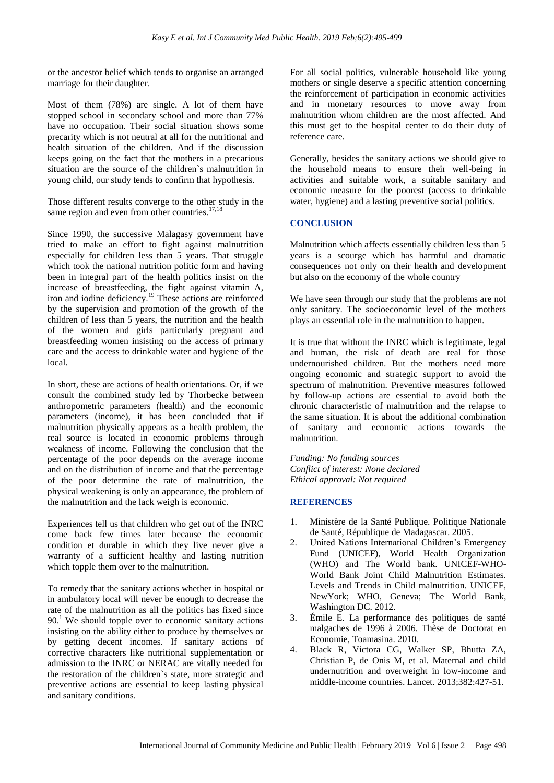or the ancestor belief which tends to organise an arranged marriage for their daughter.

Most of them (78%) are single. A lot of them have stopped school in secondary school and more than 77% have no occupation. Their social situation shows some precarity which is not neutral at all for the nutritional and health situation of the children. And if the discussion keeps going on the fact that the mothers in a precarious situation are the source of the children`s malnutrition in young child, our study tends to confirm that hypothesis.

Those different results converge to the other study in the same region and even from other countries.<sup>17,18</sup>

Since 1990, the successive Malagasy government have tried to make an effort to fight against malnutrition especially for children less than 5 years. That struggle which took the national nutrition politic form and having been in integral part of the health politics insist on the increase of breastfeeding, the fight against vitamin A, iron and iodine deficiency.<sup>19</sup> These actions are reinforced by the supervision and promotion of the growth of the children of less than 5 years, the nutrition and the health of the women and girls particularly pregnant and breastfeeding women insisting on the access of primary care and the access to drinkable water and hygiene of the local.

In short, these are actions of health orientations. Or, if we consult the combined study led by Thorbecke between anthropometric parameters (health) and the economic parameters (income), it has been concluded that if malnutrition physically appears as a health problem, the real source is located in economic problems through weakness of income. Following the conclusion that the percentage of the poor depends on the average income and on the distribution of income and that the percentage of the poor determine the rate of malnutrition, the physical weakening is only an appearance, the problem of the malnutrition and the lack weigh is economic.

Experiences tell us that children who get out of the INRC come back few times later because the economic condition et durable in which they live never give a warranty of a sufficient healthy and lasting nutrition which topple them over to the malnutrition.

To remedy that the sanitary actions whether in hospital or in ambulatory local will never be enough to decrease the rate of the malnutrition as all the politics has fixed since 90.<sup>1</sup> We should topple over to economic sanitary actions insisting on the ability either to produce by themselves or by getting decent incomes. If sanitary actions of corrective characters like nutritional supplementation or admission to the INRC or NERAC are vitally needed for the restoration of the children`s state, more strategic and preventive actions are essential to keep lasting physical and sanitary conditions.

For all social politics, vulnerable household like young mothers or single deserve a specific attention concerning the reinforcement of participation in economic activities and in monetary resources to move away from malnutrition whom children are the most affected. And this must get to the hospital center to do their duty of reference care.

Generally, besides the sanitary actions we should give to the household means to ensure their well-being in activities and suitable work, a suitable sanitary and economic measure for the poorest (access to drinkable water, hygiene) and a lasting preventive social politics.

# **CONCLUSION**

Malnutrition which affects essentially children less than 5 years is a scourge which has harmful and dramatic consequences not only on their health and development but also on the economy of the whole country

We have seen through our study that the problems are not only sanitary. The socioeconomic level of the mothers plays an essential role in the malnutrition to happen.

It is true that without the INRC which is legitimate, legal and human, the risk of death are real for those undernourished children. But the mothers need more ongoing economic and strategic support to avoid the spectrum of malnutrition. Preventive measures followed by follow-up actions are essential to avoid both the chronic characteristic of malnutrition and the relapse to the same situation. It is about the additional combination of sanitary and economic actions towards the malnutrition.

*Funding: No funding sources Conflict of interest: None declared Ethical approval: Not required*

#### **REFERENCES**

- 1. Ministère de la Santé Publique. Politique Nationale de Santé, République de Madagascar. 2005.
- 2. United Nations International Children's Emergency Fund (UNICEF), World Health Organization (WHO) and The World bank. UNICEF-WHO-World Bank Joint Child Malnutrition Estimates. Levels and Trends in Child malnutrition. UNICEF, NewYork; WHO, Geneva; The World Bank, Washington DC. 2012.
- 3. Émile E. La performance des politiques de santé malgaches de 1996 à 2006. Thèse de Doctorat en Economie, Toamasina. 2010.
- 4. Black R, Victora CG, Walker SP, Bhutta ZA, Christian P, de Onis M, et al. Maternal and child undernutrition and overweight in low-income and middle-income countries. Lancet. 2013;382:427-51.